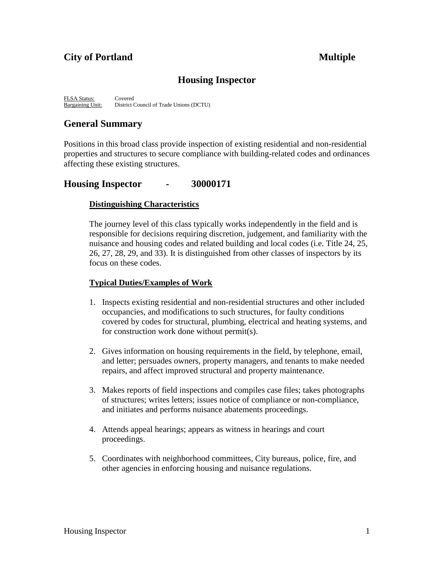# **City of Portland Multiple**

# **Housing Inspector**

FLSA Status: Covered<br>Bargaining Unit: District 0 District Council of Trade Unions (DCTU)

# **General Summary**

Positions in this broad class provide inspection of existing residential and non-residential properties and structures to secure compliance with building-related codes and ordinances affecting these existing structures.

# **Housing Inspector - 30000171**

### **Distinguishing Characteristics**

The journey level of this class typically works independently in the field and is responsible for decisions requiring discretion, judgement, and familiarity with the nuisance and housing codes and related building and local codes (i.e. Title 24, 25, 26, 27, 28, 29, and 33). It is distinguished from other classes of inspectors by its focus on these codes.

## **Typical Duties/Examples of Work**

- 1. Inspects existing residential and non-residential structures and other included occupancies, and modifications to such structures, for faulty conditions covered by codes for structural, plumbing, electrical and heating systems, and for construction work done without permit(s).
- 2. Gives information on housing requirements in the field, by telephone, email, and letter; persuades owners, property managers, and tenants to make needed repairs, and affect improved structural and property maintenance.
- 3. Makes reports of field inspections and compiles case files; takes photographs of structures; writes letters; issues notice of compliance or non-compliance, and initiates and performs nuisance abatements proceedings.
- 4. Attends appeal hearings; appears as witness in hearings and court proceedings.
- 5. Coordinates with neighborhood committees, City bureaus, police, fire, and other agencies in enforcing housing and nuisance regulations.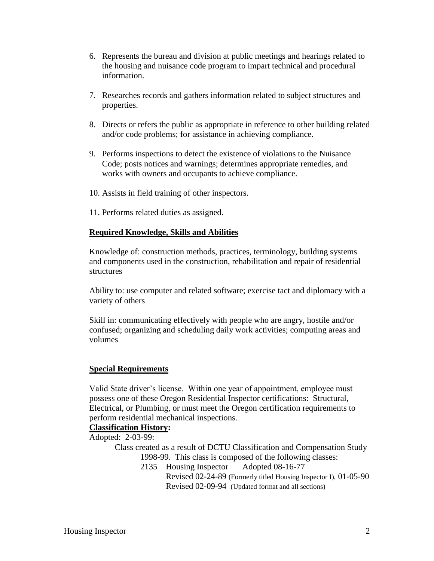- 6. Represents the bureau and division at public meetings and hearings related to the housing and nuisance code program to impart technical and procedural information.
- 7. Researches records and gathers information related to subject structures and properties.
- 8. Directs or refers the public as appropriate in reference to other building related and/or code problems; for assistance in achieving compliance.
- 9. Performs inspections to detect the existence of violations to the Nuisance Code; posts notices and warnings; determines appropriate remedies, and works with owners and occupants to achieve compliance.
- 10. Assists in field training of other inspectors.
- 11. Performs related duties as assigned.

### **Required Knowledge, Skills and Abilities**

Knowledge of: construction methods, practices, terminology, building systems and components used in the construction, rehabilitation and repair of residential structures

Ability to: use computer and related software; exercise tact and diplomacy with a variety of others

Skill in: communicating effectively with people who are angry, hostile and/or confused; organizing and scheduling daily work activities; computing areas and volumes

#### **Special Requirements**

Valid State driver's license. Within one year of appointment, employee must possess one of these Oregon Residential Inspector certifications: Structural, Electrical, or Plumbing, or must meet the Oregon certification requirements to perform residential mechanical inspections.

#### **Classification History:**

Adopted: 2-03-99:

Class created as a result of DCTU Classification and Compensation Study 1998-99. This class is composed of the following classes:

> 2135 Housing Inspector Adopted 08-16-77 Revised 02-24-89 (Formerly titled Housing Inspector I), 01-05-90 Revised 02-09-94 (Updated format and all sections)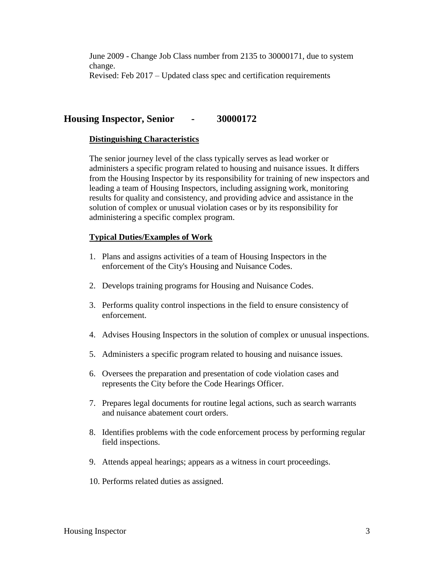June 2009 - Change Job Class number from 2135 to 30000171, due to system change. Revised: Feb 2017 – Updated class spec and certification requirements

# **Housing Inspector, Senior - 30000172**

#### **Distinguishing Characteristics**

The senior journey level of the class typically serves as lead worker or administers a specific program related to housing and nuisance issues. It differs from the Housing Inspector by its responsibility for training of new inspectors and leading a team of Housing Inspectors, including assigning work, monitoring results for quality and consistency, and providing advice and assistance in the solution of complex or unusual violation cases or by its responsibility for administering a specific complex program.

#### **Typical Duties/Examples of Work**

- 1. Plans and assigns activities of a team of Housing Inspectors in the enforcement of the City's Housing and Nuisance Codes.
- 2. Develops training programs for Housing and Nuisance Codes.
- 3. Performs quality control inspections in the field to ensure consistency of enforcement.
- 4. Advises Housing Inspectors in the solution of complex or unusual inspections.
- 5. Administers a specific program related to housing and nuisance issues.
- 6. Oversees the preparation and presentation of code violation cases and represents the City before the Code Hearings Officer.
- 7. Prepares legal documents for routine legal actions, such as search warrants and nuisance abatement court orders.
- 8. Identifies problems with the code enforcement process by performing regular field inspections.
- 9. Attends appeal hearings; appears as a witness in court proceedings.
- 10. Performs related duties as assigned.